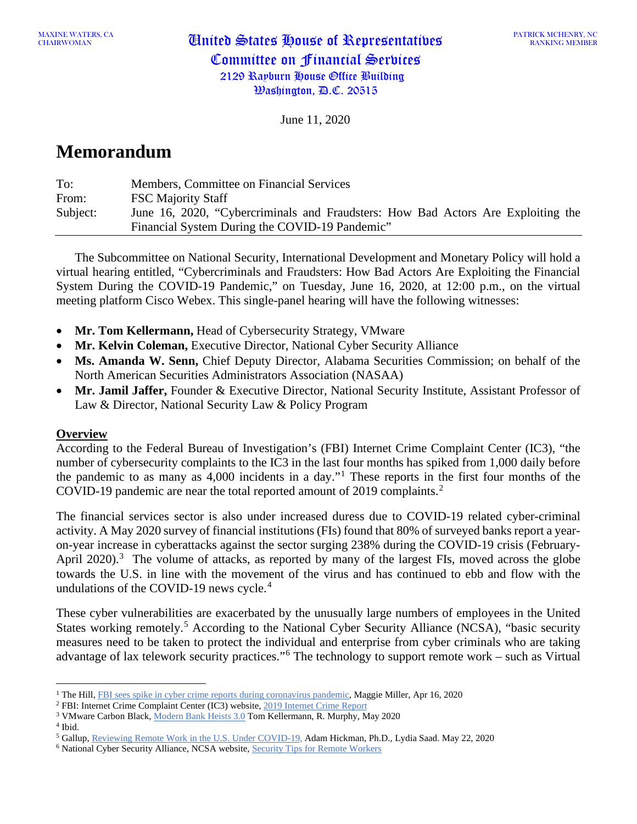MAAINE WATERS, CA **United States House of Representatives** Committee on Financial Services 2129 Rayburn House Office Building Washington, D.C. 20515

June 11, 2020

# **Memorandum**

| To:      | Members, Committee on Financial Services                                         |
|----------|----------------------------------------------------------------------------------|
| From:    | <b>FSC Majority Staff</b>                                                        |
| Subject: | June 16, 2020, "Cybercriminals and Fraudsters: How Bad Actors Are Exploiting the |
|          | Financial System During the COVID-19 Pandemic"                                   |

The Subcommittee on National Security, International Development and Monetary Policy will hold a virtual hearing entitled, "Cybercriminals and Fraudsters: How Bad Actors Are Exploiting the Financial System During the COVID-19 Pandemic," on Tuesday, June 16, 2020, at 12:00 p.m., on the virtual meeting platform Cisco Webex. This single-panel hearing will have the following witnesses:

- **Mr. Tom Kellermann,** Head of Cybersecurity Strategy, VMware
- **Mr. Kelvin Coleman,** Executive Director, National Cyber Security Alliance
- **Ms. Amanda W. Senn,** Chief Deputy Director, Alabama Securities Commission; on behalf of the North American Securities Administrators Association (NASAA)
- **Mr. Jamil Jaffer,** Founder & Executive Director, National Security Institute, Assistant Professor of Law & Director, National Security Law & Policy Program

#### **Overview**

According to the Federal Bureau of Investigation's (FBI) Internet Crime Complaint Center (IC3), "the number of cybersecurity complaints to the IC3 in the last four months has spiked from 1,000 daily before the pandemic to as many as 4,000 incidents in a day."[1](#page-0-0) These reports in the first four months of the COVID-19 pandemic are near the total reported amount of [2](#page-0-1)019 complaints.<sup>2</sup>

The financial services sector is also under increased duress due to COVID-19 related cyber-criminal activity. A May 2020 survey of financial institutions (FIs) found that 80% of surveyed banks report a yearon-year increase in cyberattacks against the sector surging 238% during the COVID-19 crisis (February-April 2020).<sup>[3](#page-0-2)</sup> The volume of attacks, as reported by many of the largest FIs, moved across the globe towards the U.S. in line with the movement of the virus and has continued to ebb and flow with the undulations of the COVID-19 news cycle. [4](#page-0-3)

These cyber vulnerabilities are exacerbated by the unusually large numbers of employees in the United States working remotely.<sup>[5](#page-0-4)</sup> According to the National Cyber Security Alliance (NCSA), "basic security measures need to be taken to protect the individual and enterprise from cyber criminals who are taking advantage of lax telework security practices."[6](#page-0-5) The technology to support remote work – such as Virtual

<span id="page-0-3"></span><sup>4</sup> Ibid.

<span id="page-0-0"></span><sup>&</sup>lt;sup>1</sup> The Hill, [FBI sees spike in cyber crime reports during coronavirus pandemic,](https://thehill.com/policy/cybersecurity/493198-fbi-sees-spike-in-cyber-crime-reports-during-coronavirus-pandemic) Maggie Miller, Apr 16, 2020

<span id="page-0-1"></span><sup>2</sup> FBI: Internet Crime Complaint Center (IC3) website, [2019 Internet Crime Report](https://pdf.ic3.gov/2019_IC3Report.pdf)

<span id="page-0-2"></span><sup>3</sup> VMware Carbon Black, [Modern Bank Heists 3.0](https://www.carbonblack.com/resource/modern-bank-heists-3-0/) Tom Kellermann, R. Murphy, May 2020

<span id="page-0-4"></span><sup>5</sup> Gallup, [Reviewing Remote Work in the U.S. Under COVID-19,](https://news.gallup.com/poll/311375/reviewing-remote-work-covid.aspx) Adam Hickman, Ph.D., Lydia Saad. May 22, 2020

<span id="page-0-5"></span><sup>&</sup>lt;sup>6</sup> National Cyber Security Alliance, NCSA website, **Security Tips for Remote Workers**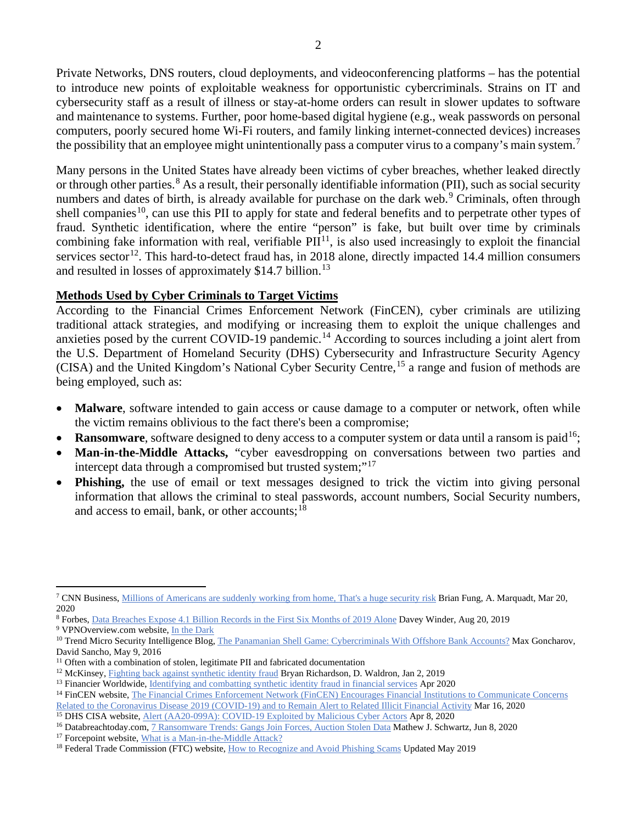Private Networks, DNS routers, cloud deployments, and videoconferencing platforms – has the potential to introduce new points of exploitable weakness for opportunistic cybercriminals. Strains on IT and cybersecurity staff as a result of illness or stay-at-home orders can result in slower updates to software and maintenance to systems. Further, poor home-based digital hygiene (e.g., weak passwords on personal computers, poorly secured home Wi-Fi routers, and family linking internet-connected devices) increases the possibility that an employee might unintentionally pass a computer virus to a company's main system.<sup>[7](#page-1-0)</sup>

Many persons in the United States have already been victims of cyber breaches, whether leaked directly or through other parties.<sup>[8](#page-1-1)</sup> As a result, their personally identifiable information (PII), such as social security numbers and dates of birth, is already available for purchase on the dark web.<sup>[9](#page-1-2)</sup> Criminals, often through shell companies<sup>10</sup>, can use this PII to apply for state and federal benefits and to perpetrate other types of fraud. Synthetic identification, where the entire "person" is fake, but built over time by criminals combining fake information with real, verifiable  $PII<sup>11</sup>$  $PII<sup>11</sup>$  $PII<sup>11</sup>$ , is also used increasingly to exploit the financial services sector<sup>[12](#page-1-5)</sup>. This hard-to-detect fraud has, in 2018 alone, directly impacted 14.4 million consumers and resulted in losses of approximately \$14.7 billion.<sup>[13](#page-1-6)</sup>

### **Methods Used by Cyber Criminals to Target Victims**

According to the Financial Crimes Enforcement Network (FinCEN), cyber criminals are utilizing traditional attack strategies, and modifying or increasing them to exploit the unique challenges and anxieties posed by the current COVID-19 pandemic.<sup>[14](#page-1-7)</sup> According to sources including a joint alert from the U.S. Department of Homeland Security (DHS) Cybersecurity and Infrastructure Security Agency (CISA) and the United Kingdom's National Cyber Security Centre, [15](#page-1-8) a range and fusion of methods are being employed, such as:

- **Malware**, software intended to gain access or cause damage to a computer or network, often while the victim remains oblivious to the fact there's been a compromise;
- **Ransomware**, software designed to deny access to a computer system or data until a ransom is paid<sup>16</sup>;
- **Man-in-the-Middle Attacks,** "cyber eavesdropping on conversations between two parties and intercept data through a compromised but trusted system;"<sup>[17](#page-1-10)</sup>
- **Phishing,** the use of email or text messages designed to trick the victim into giving personal information that allows the criminal to steal passwords, account numbers, Social Security numbers, and access to email, bank, or other accounts;<sup>[18](#page-1-11)</sup>

<span id="page-1-2"></span><sup>9</sup> VPNOverview.com website, [In the Dark](https://vpnoverview.com/privacy/anonymous-browsing/in-the-dark/)

<span id="page-1-0"></span><sup>7</sup> CNN Business, [Millions of Americans are suddenly working from home, That's a huge security risk](https://www.cnn.com/2020/03/20/tech/telework-security/index.html) Brian Fung, A. Marquadt, Mar 20, 2020

<span id="page-1-1"></span><sup>8</sup> Forbes, [Data Breaches Expose 4.1 Billion Records in the First Six Months of 2019 Alone](https://www.forbes.com/sites/daveywinder/2019/08/20/data-breaches-expose-41-billion-records-in-first-six-months-of-2019/#118d959abd54) Davey Winder, Aug 20, 2019

<span id="page-1-3"></span><sup>&</sup>lt;sup>10</sup> Trend Micro Security Intelligence Blog[, The Panamanian Shell Game: Cybercriminals With Offshore Bank Accounts?](https://blog.trendmicro.com/trendlabs-security-intelligence/cybercriminals-panama-papers/) Max Goncharov, David Sancho, May 9, 2016

<span id="page-1-4"></span><sup>&</sup>lt;sup>11</sup> Often with a combination of stolen, legitimate PII and fabricated documentation

<span id="page-1-5"></span><sup>&</sup>lt;sup>12</sup> McKinsey, [Fighting back against synthetic identity fraud](https://www.mckinsey.com/business-functions/risk/our-insights/fighting-back-against-synthetic-identity-fraud) Bryan Richardson, D. Waldron, Jan 2, 2019

<span id="page-1-6"></span><sup>&</sup>lt;sup>13</sup> Financier Worldwide, <u>Identifying</u> and combatting synthetic identity fraud in financial services Apr 2020

<span id="page-1-7"></span><sup>&</sup>lt;sup>14</sup> FinCEN website, The Financial Crimes Enforcement Network (FinCEN) Encourages Financial Institutions to Communicate Concerns [Related to the Coronavirus Disease 2019 \(COVID-19\) and to Remain Alert to Related Illicit Financial Activity](https://www.fincen.gov/news/news-releases/financial-crimes-enforcement-network-fincen-encourages-financial-institutions) Mar 16, 2020

<span id="page-1-8"></span><sup>&</sup>lt;sup>15</sup> DHS CISA website, <u>[Alert \(AA20-099A\): COVID-19 Exploited by Malicious Cyber Actors](https://www.us-cert.gov/ncas/alerts/aa20-099a)</u> Apr 8, 2020

<span id="page-1-9"></span><sup>&</sup>lt;sup>16</sup> Databreachtoday.com[, 7 Ransomware Trends: Gangs Join](http://mware-trends-gangs-join-forces-auction-stolen-data-a-14401/) Forces, Auction Stolen Data Mathew J. Schwartz, Jun 8, 2020

<span id="page-1-10"></span><sup>&</sup>lt;sup>17</sup> Forcepoint website, [What is a Man-in-the-Middle Attack?](https://www.forcepoint.com/cyber-edu/man-in-the-middle-attack)

<span id="page-1-11"></span><sup>&</sup>lt;sup>18</sup> Federal Trade Commission (FTC) website[, How to Recognize and Avoid Phishing Scams](https://www.consumer.ftc.gov/articles/how-recognize-and-avoid-phishing-scams) Updated May 2019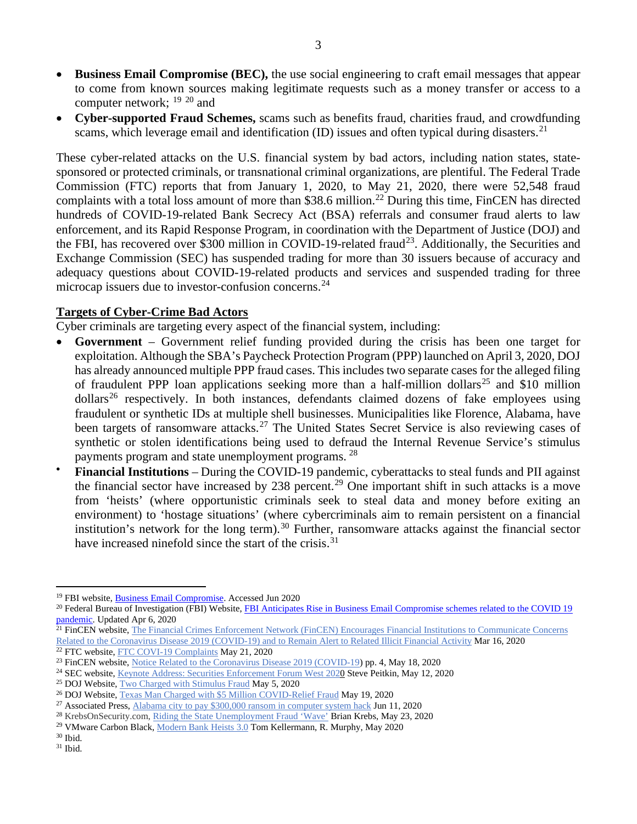- **Business Email Compromise (BEC),** the use social engineering to craft email messages that appear to come from known sources making legitimate requests such as a money transfer or access to a computer network; [19](#page-2-0) [20](#page-2-1) and
- **Cyber-supported Fraud Schemes,** scams such as benefits fraud, charities fraud, and crowdfunding scams, which leverage email and identification (ID) issues and often typical during disasters.<sup>[21](#page-2-2)</sup>

These cyber-related attacks on the U.S. financial system by bad actors, including nation states, statesponsored or protected criminals, or transnational criminal organizations, are plentiful. The Federal Trade Commission (FTC) reports that from January 1, 2020, to May 21, 2020, there were 52,548 fraud complaints with a total loss amount of more than \$38.6 million.<sup>[22](#page-2-3)</sup> During this time, FinCEN has directed hundreds of COVID-19-related Bank Secrecy Act (BSA) referrals and consumer fraud alerts to law enforcement, and its Rapid Response Program, in coordination with the Department of Justice (DOJ) and the FBI, has recovered over \$300 million in COVID-19-related fraud<sup>23</sup>. Additionally, the Securities and Exchange Commission (SEC) has suspended trading for more than 30 issuers because of accuracy and adequacy questions about COVID-19-related products and services and suspended trading for three microcap issuers due to investor-confusion concerns.<sup>[24](#page-2-5)</sup>

## **Targets of Cyber-Crime Bad Actors**

Cyber criminals are targeting every aspect of the financial system, including:

- **Government** Government relief funding provided during the crisis has been one target for exploitation. Although the SBA's Paycheck Protection Program (PPP) launched on April 3, 2020, DOJ has already announced multiple PPP fraud cases. This includes two separate cases for the alleged filing of fraudulent PPP loan applications seeking more than a half-million dollars<sup>[25](#page-2-6)</sup> and \$10 million  $dollars<sup>26</sup>$  $dollars<sup>26</sup>$  $dollars<sup>26</sup>$  respectively. In both instances, defendants claimed dozens of fake employees using fraudulent or synthetic IDs at multiple shell businesses. Municipalities like Florence, Alabama, have been targets of ransomware attacks.<sup>[27](#page-2-8)</sup> The United States Secret Service is also reviewing cases of synthetic or stolen identifications being used to defraud the Internal Revenue Service's stimulus payments program and state unemployment programs. <sup>28</sup>
- **Financial Institutions** During the COVID-19 pandemic, cyberattacks to steal funds and PII against the financial sector have increased by 238 percent.<sup>[29](#page-2-10)</sup> One important shift in such attacks is a move from 'heists' (where opportunistic criminals seek to steal data and money before exiting an environment) to 'hostage situations' (where cybercriminals aim to remain persistent on a financial institution's network for the long term).<sup>[30](#page-2-11)</sup> Further, ransomware attacks against the financial sector have increased ninefold since the start of the crisis.<sup>[31](#page-2-12)</sup>

<span id="page-2-0"></span><sup>&</sup>lt;sup>19</sup> FBI website, **Business Email Compromise**. Accessed Jun 2020

<span id="page-2-1"></span><sup>&</sup>lt;sup>20</sup> Federal Bureau of Investigation (FBI) Website, FBI Anticipates Rise in Business Email Compromise schemes related to the COVID 19 [pandemic.](https://www.fbi.gov/news/pressrel/press-releases/fbi-anticipates-rise-in-business-email-compromise-schemes-related-to-the-covid-19-pandemic) Updated Apr 6, 2020

<span id="page-2-2"></span><sup>&</sup>lt;sup>21</sup> FinCEN website, The Financial Crimes Enforcement Network (FinCEN) Encourages Financial Institutions to Communicate Concerns [Related to the Coronavirus Disease 2019 \(COVID-19\) and to Remain Alert to Related Illicit Financial Activity](https://www.fincen.gov/news/news-releases/financial-crimes-enforcement-network-fincen-encourages-financial-institutions) Mar 16, 2020

<span id="page-2-4"></span>

<span id="page-2-3"></span> $\frac{22}{22}$  FTC website, [FTC COVI-19 Complaints](https://www.ftc.gov/system/files/attachments/coronavirus-covid-19-consumer-complaint-data/covid-19-daily-public-complaints-052120.pdf) May 21, 2020<br>
<sup>23</sup> FinCEN website, Notice Related to the Coronavirus Disease 2019 (COVID-19) pp. 4, May 18, 2020

<span id="page-2-6"></span><span id="page-2-5"></span><sup>&</sup>lt;sup>24</sup> [S](https://www.sec.gov/news/speech/keynote-securities-enforcement-forum-west-2020#_ftnref11)EC website, <u>Keynote Address: Securities Enforcement Forum West 2020</u> Steve Peitkin, May 12, 2020<br><sup>25</sup> DOJ Website, <u>Two Charged with Stimulus Fraud</u> May 5, 2020<br><sup>26</sup> DOJ Website, <u>Texas Man Charged with \$5 Million C</u>

<span id="page-2-8"></span><span id="page-2-7"></span><sup>&</sup>lt;sup>27</sup> Associated Press, [Alabama city to pay \\$300,000 ransom in computer system hack](https://apnews.com/42c1929ff1adc6cccb25fdbcabdbceb8) Jun 11, 2020

<span id="page-2-9"></span><sup>&</sup>lt;sup>28</sup> KrebsOnSecurity.com, [Riding the State Unemployment Fraud 'Wave'](https://krebsonsecurity.com/2020/05/riding-the-state-unemployment-fraud-wave/) Brian Krebs, May 23, 2020

<span id="page-2-10"></span><sup>&</sup>lt;sup>29</sup> VMware Carbon Black[, Modern Bank Heists 3.0](https://www.carbonblack.com/resource/modern-bank-heists-3-0/) Tom Kellermann, R. Murphy, May 2020

<span id="page-2-11"></span> $^{\rm 30}$  Ibid.

<span id="page-2-12"></span> $^{\rm 31}$  Ibid.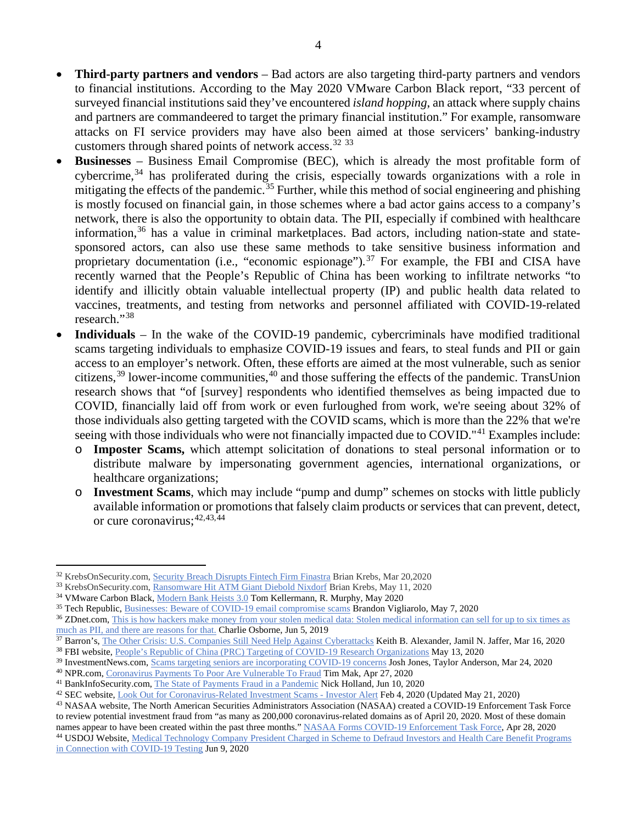- **Third-party partners and vendors**  Bad actors are also targeting third-party partners and vendors to financial institutions. According to the May 2020 VMware Carbon Black report, "33 percent of surveyed financial institutions said they've encountered *island hopping*, an attack where supply chains and partners are commandeered to target the primary financial institution." For example, ransomware attacks on FI service providers may have also been aimed at those servicers' banking-industry customers through shared points of network access.<sup>[32](#page-3-0)</sup> <sup>[33](#page-3-1)</sup>
- **Businesses** Business Email Compromise (BEC), which is already the most profitable form of cybercrime,<sup>[34](#page-3-2)</sup> has proliferated during the crisis, especially towards organizations with a role in mitigating the effects of the pandemic.<sup>[35](#page-3-3)</sup> Further, while this method of social engineering and phishing is mostly focused on financial gain, in those schemes where a bad actor gains access to a company's network, there is also the opportunity to obtain data. The PII, especially if combined with healthcare information, [36](#page-3-4) has a value in criminal marketplaces. Bad actors, including nation-state and statesponsored actors, can also use these same methods to take sensitive business information and proprietary documentation (i.e., "economic espionage").<sup>[37](#page-3-5)</sup> For example, the FBI and CISA have recently warned that the People's Republic of China has been working to infiltrate networks "to identify and illicitly obtain valuable intellectual property (IP) and public health data related to vaccines, treatments, and testing from networks and personnel affiliated with COVID-19-related research."[38](#page-3-6)
- **Individuals** In the wake of the COVID-19 pandemic, cybercriminals have modified traditional scams targeting individuals to emphasize COVID-19 issues and fears, to steal funds and PII or gain access to an employer's network. Often, these efforts are aimed at the most vulnerable, such as senior citizens, [39](#page-3-7) lower-income communities, [40](#page-3-8) and those suffering the effects of the pandemic. TransUnion research shows that "of [survey] respondents who identified themselves as being impacted due to COVID, financially laid off from work or even furloughed from work, we're seeing about 32% of those individuals also getting targeted with the COVID scams, which is more than the 22% that we're seeing with those individuals who were not financially impacted due to COVID."<sup>[41](#page-3-9)</sup> Examples include:
	- o **Imposter Scams,** which attempt solicitation of donations to steal personal information or to distribute malware by impersonating government agencies, international organizations, or healthcare organizations;
	- o **Investment Scams**, which may include "pump and dump" schemes on stocks with little publicly available information or promotions that falsely claim products or services that can prevent, detect, or cure coronavirus; [42](#page-3-10),[43,](#page-3-11)[44](#page-3-12)

<span id="page-3-0"></span><sup>32</sup> KrebsOnSecurity.com, [Security Breach Disrupts Fintech Firm Finastra](https://krebsonsecurity.com/2020/03/security-breach-disrupts-fintech-firm-finastra/) Brian Krebs, Mar 20,2020

<span id="page-3-1"></span><sup>&</sup>lt;sup>33</sup> KrebsOnSecurity.com, [Ransomware Hit ATM Giant Diebold Nixdorf](https://krebsonsecurity.com/2020/05/ransomware-hit-atm-giant-diebold-nixdorf/) Brian Krebs, May 11, 2020

<span id="page-3-2"></span><sup>&</sup>lt;sup>34</sup> VMware Carbon Black[, Modern Bank Heists 3.0](https://www.carbonblack.com/resource/modern-bank-heists-3-0/) Tom Kellermann, R. Murphy, May 2020

<span id="page-3-3"></span><sup>&</sup>lt;sup>35</sup> Tech Republic, [Businesses: Beware of COVID-19 email compromise scams](https://www.techrepublic.com/article/businesses-beware-of-covid-19-email-compromise-scams/) Brandon Vigliarolo, May 7, 2020

<span id="page-3-4"></span><sup>&</sup>lt;sup>36</sup> ZDnet.com, This is how hackers make money from your stolen medical data: Stolen medical information can sell for up to six times as [much as PII, and there are reasons for that.](https://www.zdnet.com/article/this-is-how-hackers-make-money-from-your-stolen-medical-data/) Charlie Osborne, Jun 5, 2019

<span id="page-3-6"></span><span id="page-3-5"></span><sup>&</sup>lt;sup>37</sup> Barron's, [The Other Crisis: U.S. Companies Still Need Help Against Cyberattacks](https://www.barrons.com/articles/cyberspace-solarium-commission-urges-collective-defense-51584364449?tesla=y) Keith B. Alexander, Jamil N. Jaffer, Mar 16, 2020 <sup>38</sup> FBI website, [People's Republic of China \(PRC\) Targeting of COVID-19 Research Organizations](https://www.fbi.gov/news/pressrel/press-releases/peoples-republic-of-china-prc-targeting-of-covid-19-research-organizations) May 13, 2020

<span id="page-3-7"></span><sup>&</sup>lt;sup>39</sup> InvestmentNews.com, [Scams targeting seniors are incorporating COVID-19 concerns](https://www.investmentnews.com/scams-targeting-seniors-are-incorporating-covid-19-concerns-190518) Josh Jones, Taylor Anderson, Mar 24, 2020

<span id="page-3-8"></span><sup>40</sup> NPR.com, [Coronavirus Payments To Poor Are Vulnerable To Fraud](https://www.npr.org/2020/04/27/846306250/coronavirus-payments-to-poor-are-vulnerable-to-fraud) Tim Mak, Apr 27, 2020

<span id="page-3-9"></span><sup>&</sup>lt;sup>41</sup> BankInfoSecurity.com, [The State of Payments Fraud in a Pandemic](https://www.bankinfosecurity.com/interviews/state-payments-fraud-in-pandemic-i-4708) Nick Holland, Jun 10, 2020

<span id="page-3-10"></span><sup>&</sup>lt;sup>42</sup> SEC website, *Look Out for Coronavirus-Related Investment Scams - Investor Alert Feb 4, 2020 (Updated May 21, 2020)* 

<span id="page-3-11"></span><sup>43</sup> NASAA website, The North American Securities Administrators Association (NASAA) created a COVID-19 Enforcement Task Force to review potential investment fraud from "as many as 200,000 coronavirus-related domains as of April 20, 2020. Most of these domain names appear to have been created within the past three months." [NASAA Forms COVID-19 Enforcement Task Force,](https://www.nasaa.org/54844/nasaa-forms-covid-19-enforcement-task-force/?qoid=current-headlines) Apr 28, 2020

<span id="page-3-12"></span><sup>44</sup> USDOJ Website, Medical Technology Company President Charged in Scheme to Defraud Investors and Health Care Benefit Programs [in Connection with COVID-19 Testing](https://www.justice.gov/opa/pr/medical-technology-company-president-charged-scheme-defraud-investors-and-health-care-benefit) Jun 9, 2020